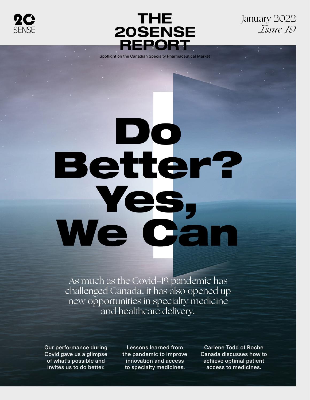



January 2022 *Issue 19*

Spotlight on the Canadian Specialty Pharmaceutical Market

# Do Better? Yes, We Can

As much as the Covid-19 pandemic has challenged Canada, it has also opened up new opportunities in specialty medicine and healthcare delivery.

Our performance during Covid gave us a glimpse of what's possible and invites us to do better.

Lessons learned from the pandemic to improve innovation and access to specialty medicines.

Carlene Todd of Roche Canada discusses how to achieve optimal patient access to medicines.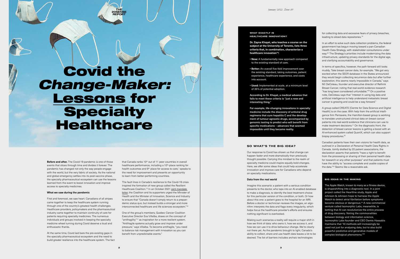**Before and after.** The Covid-19 pandemic is one of those events that slices through time and divides it forever. The pandemic has changed not only the way people engage with the world, but the very fabric of society. As the national and global emergency settles into its post-vaccine phase, the specialty pharmaceutical ecosystem can use the lessons learned from the event to boost innovation and improve access to specialty medicines.

# **What we saw during the pandemic**

that Canada ranks 10<sup>th</sup> out of 11 peer countries in overall healthcare performance, including a 10<sup>th</sup>-place ranking for health outcomes and 9<sup>th</sup> place for access to care,<sup>1</sup> speaks to the need for improvement and presents an opportunity to learn from better-performing countries.

First and foremost, we saw heart. Canadians of all stripes came together to keep the healthcare system running through one of the country's greatest health challenges. Healthcare providers, policymakers and the pharmaceutical industry came together to maintain continuity of care for patients requiring specialty medicines. The numerous individuals and groups involved in keeping the specialty medicine wheel turning during Covid deserve a loud and enthusiastic thanks.

One of the group's members, Quebec Cancer Coalition Executive Director Eva Villalba, draws on the concept of "antifragility"17 as inspiration for a more resilient system. "Antifragile systems actually grow and improve under pressure," says Villalba. To become antifragile, "you need to balance risk management with innovation so you can benefit from unpredictable events."

At the same time, Covid laid bare the pre-existing gaps in the specialty pharmaceutical ecosystem and the need to build greater resilience into the healthcare system. The fact

# WHAT EXACTLY IS HEALTHCARE INNOVATION?

The fault lines in Canada's resilience to the Covid-19 crisis inspired the formation of new group called the Resilient Healthcare Coalition.15 In an October 2021 [joint mandate](https://static1.squarespace.com/static/600f391a99309024c056ab8a/t/617a09a50819a566b3bc2247/1635387813357/RHC+Mandate+Letter+-+English+-+October+28.pdf)  [letter,](https://static1.squarespace.com/static/600f391a99309024c056ab8a/t/617a09a50819a566b3bc2247/1635387813357/RHC+Mandate+Letter+-+English+-+October+28.pdf) the Coalition and its supporters urged the Minister of Health and the Minister of Innovation, Science and Industry to ensure that "Canada doesn't simply return to a prepandemic status quo, but instead builds a stronger and more interconnected healthcare and life sciences ecosystem."16

Imagine this scenario: a patient with a serious condition presents to the doctor, who taps into an AI-enabled database to make a diagnosis, to identify the best treatment choice for this particular version of the condition, or both. Or how about this one: a patient goes to the hospital for an MRI. Before a doctor or technician reviews the images, an algorithm interprets the data and flags every irregularity, which helps focus the healthcare provider's efforts and ensures nothing significant is overlooked.

for collecting data and excessive fears of privacy breaches, leading to siloed data repositories.<sup>19</sup>

**Dr. Zayna Khayat, who teaches a course on the subject at the University of Toronto, lists three criteria that, in combination, characterize a healthcare innovation18:**

In an effort to solve such data collection problems, the federal government has begun moving toward a pan-Canadian Health Data Strategy, with stakeholder consultations under way.<sup>20</sup> The Strategy's priorities include modernizing the data infrastructure, updating privacy standards for the digital age, and clarifying accountability and governance.

- **New:** A fundamentally new approach compared to the existing standard of care.
- Better: An overall five-fold improvement over the existing standard, taking outcomes, patient experience, healthcare experience, and costs into account.
- **Used:** Implemented at scale, at a minimum level of 35% of potential adoption.

In terms of specifics, however, the path forward still looks muddy. Take breast cancer data, for example. "We got very excited when the SEER database in the States announced they would begin collecting recurrence data but after further exploration, this seems nearly impossible in Canada," says MJ DeCoteau, founder and executive director of Rethink Breast Cancer, noting that real-world evidence research "has long been considered unfundable."39 On a positive note, DeCoteau says that "interest in using big data and artificial intelligence to help understand metastatic breast cancer is growing and could be a way forward."

A group called CREATE [Centre for Data Science and Digital Health] is on the case. With help from the artificial intelligence firm Pentavere, the Hamilton-based group is working to translate unstructured clinical data on breast cancer patients into real-world evidence that clinicians can use to make treatment decisions.<sup>21</sup> On the diagnostic front, the detection of breast cancer lesions is getting a boost with an AI-enhanced system called QuantX, which can also support biopsy procedures.<sup>22</sup>

According to Dr. Khayat, a medical advance that fails to meet these criteria is "just a new and interesting thing."

> Canadian patients have their own visions for health data, as outlined in a Declaration of Personal Health Data Rights in Canada. Jointly drafted by 20 patient associations, the declaration asserts that patients "have a right to benefit from the processing or sharing of their personal health data for research or any other purposes" and that patients must have the ability to "access complete and usable copies of the data."<sup>23</sup> Seems like a reasonable ask.

For example, life-changing innovations in specialty medicine include the discovery of antiviral drug regimens that cure hepatitis C and the development of tumour-agnostic drugs, accompanied by genomic testing to predict who will benefit from specific medications - advances that seemed impossible until they became reality.

# SO WHAT'S THE BIG IDEA?

Our response to Covid has shown us that change can happen faster and more dramatically than previously thought possible. Carrying this mindset to the realm of specialty medicine could inspire equally bold changes. Here, we offer some ideas that could help accelerate innovation and improve care for Canadians who depend on specialty medications.

# **Data from the real world**

The Apple Watch, known to many as a fitness device, is shapeshifting into a diagnostic tool. In a joint project called the Heartline study, Apple and Johnson & Johnson hope to harness the Apple Watch to detect atrial fibrillation before symptoms become obvious or dangerous.<sup>24</sup> A new commercial venture called Isomorphic Labs, meanwhile, is betting that AI can revolutionize the entire process of drug discovery. Noting the commonalities between biology and information science, Isomorphic Labs founder and CEO Demis Hassabis maintains that "AI methods will increasingly be used not just for analysing data, but to also build powerful predictive and generative models of complex biological phenomena."25

Making such scenarios a reality will require a major shift in how we think of data: who owns it, how we access it, and how we can use it to drive behaviour change. We're clearly not there yet. As the pandemic brought to light, Canada's ability to collect, share and use health data leaves a lot to be desired. The list of barriers includes archaic technologies

# BIG IDEAS IN THE MAKING

# Covid the *Change-Maker:* Lessons for **Specialty** Healthcare

# 20SENSE REPORT